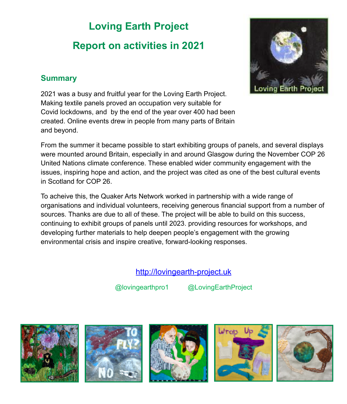# **Loving Earth Project Report on activities in 2021**



2021 was a busy and fruitful year for the Loving Earth Project. Making textile panels proved an occupation very suitable for Covid lockdowns, and by the end of the year over 400 had been created. Online events drew in people from many parts of Britain and beyond.

From the summer it became possible to start exhibiting groups of panels, and several displays were mounted around Britain, especially in and around Glasgow during the November COP 26 United Nations climate conference. These enabled wider community engagement with the issues, inspiring hope and action, and the project was cited as one of the best cultural events in Scotland for COP 26.

To acheive this, the Quaker Arts Network worked in partnership with a wide range of organisations and individual volunteers, receiving generous financial support from a number of sources. Thanks are due to all of these. The project will be able to build on this success, continuing to exhibit groups of panels until 2023. providing resources for workshops, and developing further materials to help deepen people's engagement with the growing environmental crisis and inspire creative, forward-looking responses.

## <http://lovingearth-project.uk>

@lovingearthpro1 @LovingEarthProject











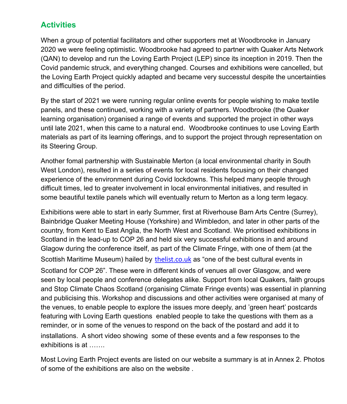### **Activities**

When a group of potential facilitators and other supporters met at Woodbrooke in January 2020 we were feeling optimistic. Woodbrooke had agreed to partner with Quaker Arts Network (QAN) to develop and run the Loving Earth Project (LEP) since its inception in 2019. Then the Covid pandemic struck, and everything changed. Courses and exhibitions were cancelled, but the Loving Earth Project quickly adapted and became very successtul despite the uncertainties and difficulties of the period.

By the start of 2021 we were running regular online events for people wishing to make textile panels, and these continued, working with a variety of partners. Woodbrooke (the Quaker learning organisation) organised a range of events and supported the project in other ways until late 2021, when this came to a natural end. Woodbrooke continues to use Loving Earth materials as part of its learning offerings, and to support the project through representation on its Steering Group.

Another fomal partnership with Sustainable Merton (a local environmental charity in South West London), resulted in a series of events for local residents focusing on their changed experience of the environment during Covid lockdowns. This helped many people through difficult times, led to greater involvement in local environmental initiatives, and resulted in some beautiful textile panels which will eventually return to Merton as a long term legacy.

Exhibitions were able to start in early Summer, first at Riverhouse Barn Arts Centre (Surrey), Bainbridge Quaker Meeting House (Yorkshire) and Wimbledon, and later in other parts of the country, from Kent to East Anglia, the North West and Scotland. We prioritised exhibitions in Scotland in the lead-up to COP 26 and held six very successful exhibitions in and around Glagow during the conference itself, as part of the Climate Fringe, with one of them (at the Scottish Maritime Museum) hailed by [thelist.co.uk](http://thelist.co.uk) as "one of the best cultural events in Scotland for COP 26". These were in different kinds of venues all over Glasgow, and were seen by local people and conference delegates alike. Support from local Quakers, faith groups and Stop Climate Chaos Scotland (organising Climate Fringe events) was essential in planning and publicising this. Workshop and discussions and other activities were organised at many of the venues, to enable people to explore the issues more deeply, and 'green heart' postcards featuring with Loving Earth questions enabled people to take the questions with them as a reminder, or in some of the venues to respond on the back of the postard and add it to installations. A short video showing some of these events and a few responses to the exhibitions is at …….

Most Loving Earth Project events are listed on our website a summary is at in Annex 2. Photos of some of the exhibitions are also on the website .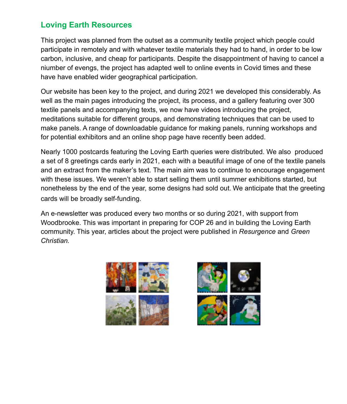### **Loving Earth Resources**

This project was planned from the outset as a community textile project which people could participate in remotely and with whatever textile materials they had to hand, in order to be low carbon, inclusive, and cheap for participants. Despite the disappointment of having to cancel a niumber of evengs, the project has adapted well to online events in Covid times and these have have enabled wider geographical participation.

Our website has been key to the project, and during 2021 we developed this considerably. As well as the main pages introducing the project, its process, and a gallery featuring over 300 textile panels and accompanying texts, we now have videos introducing the project, meditations suitable for different groups, and demonstrating techniques that can be used to make panels. A range of downloadable guidance for making panels, running workshops and for potential exhibitors and an online shop page have recently been added.

Nearly 1000 postcards featuring the Loving Earth queries were distributed. We also produced a set of 8 greetings cards early in 2021, each with a beautiful image of one of the textile panels and an extract from the maker's text. The main aim was to continue to encourage engagement with these issues. We weren't able to start selling them until summer exhibitions started, but nonetheless by the end of the year, some designs had sold out. We anticipate that the greeting cards will be broadly self-funding.

An e-newsletter was produced every two months or so during 2021, with support from Woodbrooke. This was important in preparing for COP 26 and in building the Loving Earth community. This year, articles about the project were published in *Resurgence* and *Green Christian.*



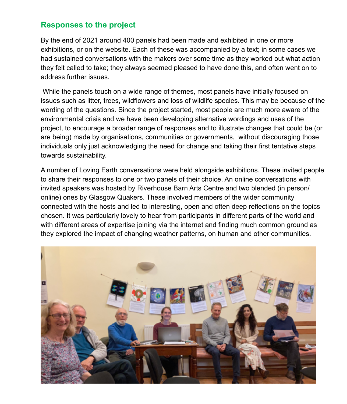#### **Responses to the project**

By the end of 2021 around 400 panels had been made and exhibited in one or more exhibitions, or on the website. Each of these was accompanied by a text; in some cases we had sustained conversations with the makers over some time as they worked out what action they felt called to take; they always seemed pleased to have done this, and often went on to address further issues.

 While the panels touch on a wide range of themes, most panels have initially focused on issues such as litter, trees, wildflowers and loss of wildlife species. This may be because of the wording of the questions. Since the project started, most people are much more aware of the environmental crisis and we have been developing alternative wordings and uses of the project, to encourage a broader range of responses and to illustrate changes that could be (or are being) made by organisations, communities or governments, without discouraging those individuals only just acknowledging the need for change and taking their first tentative steps towards sustainability.

A number of Loving Earth conversations were held alongside exhibitions. These invited people to share their responses to one or two panels of their choice. An online conversations with invited speakers was hosted by Riverhouse Barn Arts Centre and two blended (in person/ online) ones by Glasgow Quakers. These involved members of the wider community connected with the hosts and led to interesting, open and often deep reflections on the topics chosen. It was particularly lovely to hear from participants in different parts of the world and with different areas of expertise joining via the internet and finding much common ground as they explored the impact of changing weather patterns, on human and other communities.

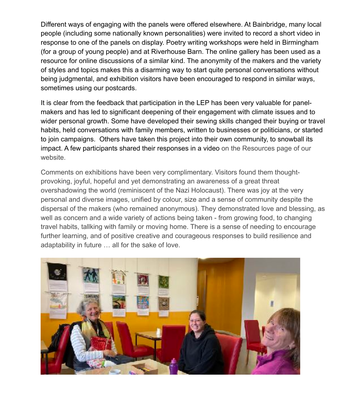Different ways of engaging with the panels were offered elsewhere. At Bainbridge, many local people (including some nationally known personalities) were invited to record a short video in response to one of the panels on display. Poetry writing workshops were held in Birmingham (for a group of young people) and at Riverhouse Barn. The online gallery has been used as a resource for online discussions of a similar kind. The anonymity of the makers and the variety of styles and topics makes this a disarming way to start quite personal conversations without being judgmental, and exhibition visitors have been encouraged to respond in similar ways, sometimes using our postcards.

It is clear from the feedback that participation in the LEP has been very valuable for panelmakers and has led to significant deepening of their engagement with climate issues and to wider personal growth. Some have developed their sewing skills changed their buying or travel habits, held conversations with family members, written to businesses or politicians, or started to join campaigns. Others have taken this project into their own community, to snowball its impact. A few participants shared their responses in a video on the Resources page of our website.

Comments on exhibitions have been very complimentary. Visitors found them thoughtprovoking, joyful, hopeful and yet demonstrating an awareness of a great threat overshadowing the world (reminiscent of the Nazi Holocaust). There was joy at the very personal and diverse images, unified by colour, size and a sense of community despite the dispersal of the makers (who remained anonymous). They demonstrated love and blessing, as well as concern and a wide variety of actions being taken - from growing food, to changing travel habits, tallking with family or moving home. There is a sense of needing to encourage further learning, and of positive creative and courageous responses to build resilience and adaptability in future … all for the sake of love.

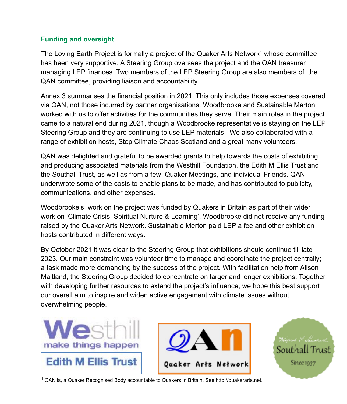#### **Funding and oversight**

<span id="page-5-1"></span>The Loving Earth Project is formally a project of the Quaker Arts Network<sup>[1](#page-5-0)</sup> whose committee has been very supportive. A Steering Group oversees the project and the QAN treasurer managing LEP finances. Two members of the LEP Steering Group are also members of the QAN committee, providing liaison and accountability.

Annex 3 summarises the financial position in 2021. This only includes those expenses covered via QAN, not those incurred by partner organisations. Woodbrooke and Sustainable Merton worked with us to offer activities for the communities they serve. Their main roles in the project came to a natural end during 2021, though a Woodbrooke representative is staying on the LEP Steering Group and they are continuing to use LEP materials. We also collaborated with a range of exhibition hosts, Stop Climate Chaos Scotland and a great many volunteers.

QAN was delighted and grateful to be awarded grants to help towards the costs of exhibiting and producing associated materials from the Westhill Foundation, the Edith M Ellis Trust and the Southall Trust, as well as from a few Quaker Meetings, and individual Friends. QAN underwrote some of the costs to enable plans to be made, and has contributed to publicity, communications, and other expenses.

Woodbrooke's work on the project was funded by Quakers in Britain as part of their wider work on 'Climate Crisis: Spiritual Nurture & Learning'. Woodbrooke did not receive any funding raised by the Quaker Arts Network. Sustainable Merton paid LEP a fee and other exhibition hosts contributed in different ways.

By October 2021 it was clear to the Steering Group that exhibitions should continue till late 2023. Our main constraint was volunteer time to manage and coordinate the project centrally; a task made more demanding by the success of the project. With facilitation help from Alison Maitland, the Steering Group decided to concentrate on larger and longer exhibitions. Together with developing further resources to extend the project's influence, we hope this best support our overall aim to inspire and widen active engagement with climate issues without overwhelming people.





<span id="page-5-0"></span><sup>[1](#page-5-1)</sup> QAN is, a Quaker Recognised Body accountable to Quakers in Britain. See http://quakerarts.net.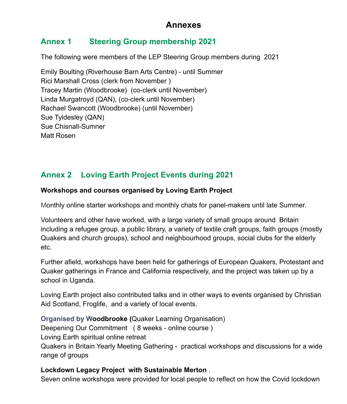## **Annexes**

## **Annex 1 Steering Group membership 2021**

The following were members of the LEP Steering Group members during 2021

Emily Boulting (Riverhouse Barn Arts Centre) - until Summer Rici Marshall Cross (clerk from November ) Tracey Martin (Woodbrooke) (co-clerk until November) Linda Murgatroyd (QAN), (co-clerk until November) Rachael Swancott (Woodbrooke) (until November) Sue Tyldesley (QAN) Sue Chisnall-Sumner Matt Rosen

## **Annex 2 Loving Earth Project Events during 2021**

#### **Workshops and courses organised by Loving Earth Project**

Monthly online starter workshops and monthly chats for panel-makers until late Summer.

Volunteers and other have worked, with a large variety of small groups around Britain including a refugee group, a public library, a variety of textile craft groups, faith groups (mostly Quakers and church groups), school and neighbourhood groups, social clubs for the elderly etc.

Further afield, workshops have been held for gatherings of European Quakers, Protestant and Quaker gatherings in France and California respectively, and the project was taken up by a school in Uganda.

Loving Earth project also contributed talks and in other ways to events organised by Christian Aid Scotland, Froglife, and a variety of local events.

**Organised by Woodbrooke (**Quaker Learning Organisation)

Deepening Our Commitment ( 8 weeks - online course )

Loving Earth spiritual online retreat

Quakers in Britain Yearly Meeting Gathering - practical workshops and discussions for a wide range of groups

#### **Lockdown Legacy Project with Sustainable Merton** .

Seven online workshops were provided for local people to reflect on how the Covid lockdown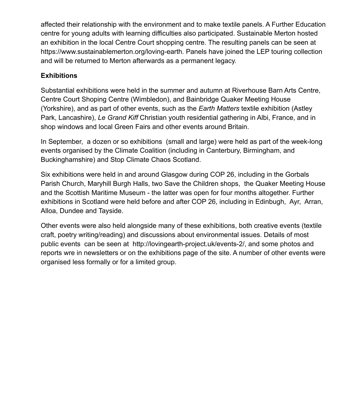affected their relationship with the environment and to make textile panels. A Further Education centre for young adults with learning difficulties also participated. Sustainable Merton hosted an exhibition in the local Centre Court shopping centre. The resulting panels can be seen at https://www.sustainablemerton.org/loving-earth. Panels have joined the LEP touring collection and will be returned to Merton afterwards as a permanent legacy.

#### **Exhibitions**

Substantial exhibitions were held in the summer and autumn at Riverhouse Barn Arts Centre, Centre Court Shoping Centre (Wimbledon), and Bainbridge Quaker Meeting House (Yorkshire), and as part of other events, such as the *Earth Matters* textile exhibition (Astley Park, Lancashire), *Le Grand Kiff* Christian youth residential gathering in Albi, France, and in shop windows and local Green Fairs and other events around Britain.

In September, a dozen or so exhibitions (small and large) were held as part of the week-long events organised by the Climate Coalition (including in Canterbury, Birmingham, and Buckinghamshire) and Stop Climate Chaos Scotland.

Six exhibitions were held in and around Glasgow during COP 26, including in the Gorbals Parish Church, Maryhill Burgh Halls, two Save the Children shops, the Quaker Meeting House and the Scottish Maritime Museum - the latter was open for four months altogether. Further exhibitions in Scotland were held before and after COP 26, including in Edinbugh, Ayr, Arran, Alloa, Dundee and Tayside.

Other events were also held alongside many of these exhibitions, both creative events (textile craft, poetry writing/reading) and discussions about environmental issues. Details of most public events can be seen at http://lovingearth-project.uk/events-2/, and some photos and reports wre in newsletters or on the exhibitions page of the site. A number of other events were organised less formally or for a limited group.